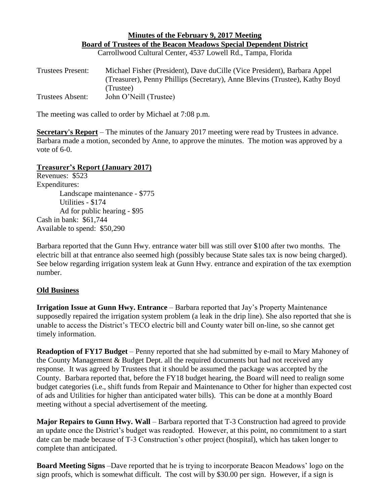## **Minutes of the February 9, 2017 Meeting Board of Trustees of the Beacon Meadows Special Dependent District** Carrollwood Cultural Center, 4537 Lowell Rd., Tampa, Florida

| <b>Trustees Present:</b> | Michael Fisher (President), Dave du Cille (Vice President), Barbara Appel<br>(Treasurer), Penny Phillips (Secretary), Anne Blevins (Trustee), Kathy Boyd |
|--------------------------|----------------------------------------------------------------------------------------------------------------------------------------------------------|
| Trustees Absent:         | (Trustee)<br>John O'Neill (Trustee)                                                                                                                      |

The meeting was called to order by Michael at 7:08 p.m.

**Secretary's Report** – The minutes of the January 2017 meeting were read by Trustees in advance. Barbara made a motion, seconded by Anne, to approve the minutes. The motion was approved by a vote of 6-0.

## **Treasurer's Report (January 2017)**

Revenues: \$523 Expenditures: Landscape maintenance - \$775 Utilities - \$174 Ad for public hearing - \$95 Cash in bank: \$61,744 Available to spend: \$50,290

Barbara reported that the Gunn Hwy. entrance water bill was still over \$100 after two months. The electric bill at that entrance also seemed high (possibly because State sales tax is now being charged). See below regarding irrigation system leak at Gunn Hwy. entrance and expiration of the tax exemption number.

## **Old Business**

**Irrigation Issue at Gunn Hwy. Entrance** – Barbara reported that Jay's Property Maintenance supposedly repaired the irrigation system problem (a leak in the drip line). She also reported that she is unable to access the District's TECO electric bill and County water bill on-line, so she cannot get timely information.

**Readoption of FY17 Budget** – Penny reported that she had submitted by e-mail to Mary Mahoney of the County Management & Budget Dept. all the required documents but had not received any response. It was agreed by Trustees that it should be assumed the package was accepted by the County. Barbara reported that, before the FY18 budget hearing, the Board will need to realign some budget categories (i.e., shift funds from Repair and Maintenance to Other for higher than expected cost of ads and Utilities for higher than anticipated water bills). This can be done at a monthly Board meeting without a special advertisement of the meeting.

**Major Repairs to Gunn Hwy. Wall** – Barbara reported that T-3 Construction had agreed to provide an update once the District's budget was readopted. However, at this point, no commitment to a start date can be made because of T-3 Construction's other project (hospital), which has taken longer to complete than anticipated.

**Board Meeting Signs** –Dave reported that he is trying to incorporate Beacon Meadows' logo on the sign proofs, which is somewhat difficult. The cost will by \$30.00 per sign. However, if a sign is